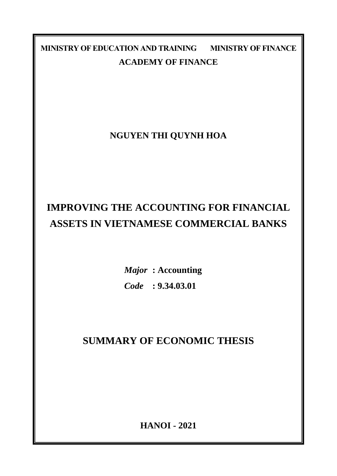**MINISTRY OF EDUCATION AND TRAINING MINISTRY OF FINANCE ACADEMY OF FINANCE**

**NGUYEN THI QUYNH HOA**

# **IMPROVING THE ACCOUNTING FOR FINANCIAL ASSETS IN VIETNAMESE COMMERCIAL BANKS**

*Major* **: Accounting** *Code* **: 9.34.03.01**

**SUMMARY OF ECONOMIC THESIS**

**HANOI - 2021**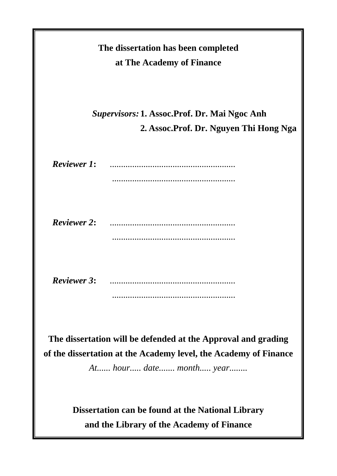| The dissertation has been completed<br>at The Academy of Finance                                                                                             |  |  |  |  |  |  |  |
|--------------------------------------------------------------------------------------------------------------------------------------------------------------|--|--|--|--|--|--|--|
| <b>Supervisors: 1. Assoc.Prof. Dr. Mai Ngoc Anh</b><br>2. Assoc. Prof. Dr. Nguyen Thi Hong Nga                                                               |  |  |  |  |  |  |  |
| <b>Reviewer 1:</b>                                                                                                                                           |  |  |  |  |  |  |  |
| <b>Reviewer 2:</b>                                                                                                                                           |  |  |  |  |  |  |  |
| <b>Reviewer 3:</b>                                                                                                                                           |  |  |  |  |  |  |  |
| The dissertation will be defended at the Approval and grading<br>of the dissertation at the Academy level, the Academy of Finance<br>At hour date month year |  |  |  |  |  |  |  |
| Dissertation can be found at the National Library<br>and the Library of the Academy of Finance                                                               |  |  |  |  |  |  |  |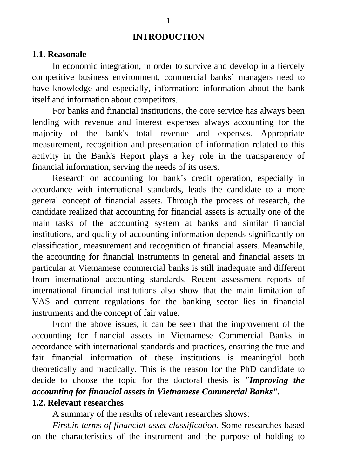#### **INTRODUCTION**

#### **1.1. Reasonale**

In economic integration, in order to survive and develop in a fiercely competitive business environment, commercial banks' managers need to have knowledge and especially, information: information about the bank itself and information about competitors.

For banks and financial institutions, the core service has always been lending with revenue and interest expenses always accounting for the majority of the bank's total revenue and expenses. Appropriate measurement, recognition and presentation of information related to this activity in the Bank's Report plays a key role in the transparency of financial information, serving the needs of its users.

Research on accounting for bank's credit operation, especially in accordance with international standards, leads the candidate to a more general concept of financial assets. Through the process of research, the candidate realized that accounting for financial assets is actually one of the main tasks of the accounting system at banks and similar financial institutions, and quality of accounting information depends significantly on classification, measurement and recognition of financial assets. Meanwhile, the accounting for financial instruments in general and financial assets in particular at Vietnamese commercial banks is still inadequate and different from international accounting standards. Recent assessment reports of international financial institutions also show that the main limitation of VAS and current regulations for the banking sector lies in financial instruments and the concept of fair value.

From the above issues, it can be seen that the improvement of the accounting for financial assets in Vietnamese Commercial Banks in accordance with international standards and practices, ensuring the true and fair financial information of these institutions is meaningful both theoretically and practically. This is the reason for the PhD candidate to decide to choose the topic for the doctoral thesis is *"Improving the accounting for financial assets in Vietnamese Commercial Banks".* **1.2. Relevant researches**

A summary of the results of relevant researches shows:

*First,in terms of financial asset classification.* Some researches based on the characteristics of the instrument and the purpose of holding to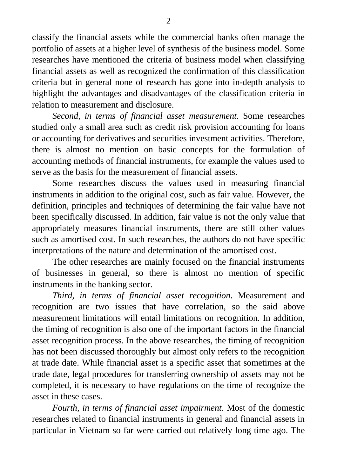classify the financial assets while the commercial banks often manage the portfolio of assets at a higher level of synthesis of the business model. Some researches have mentioned the criteria of business model when classifying financial assets as well as recognized the confirmation of this classification criteria but in general none of research has gone into in-depth analysis to highlight the advantages and disadvantages of the classification criteria in relation to measurement and disclosure.

*Second, in terms of financial asset measurement.* Some researches studied only a small area such as credit risk provision accounting for loans or accounting for derivatives and securities investment activities. Therefore, there is almost no mention on basic concepts for the formulation of accounting methods of financial instruments, for example the values used to serve as the basis for the measurement of financial assets.

Some researches discuss the values used in measuring financial instruments in addition to the original cost, such as fair value. However, the definition, principles and techniques of determining the fair value have not been specifically discussed. In addition, fair value is not the only value that appropriately measures financial instruments, there are still other values such as amortised cost. In such researches, the authors do not have specific interpretations of the nature and determination of the amortised cost.

The other researches are mainly focused on the financial instruments of businesses in general, so there is almost no mention of specific instruments in the banking sector.

*Third, in terms of financial asset recognition*. Measurement and recognition are two issues that have correlation, so the said above measurement limitations will entail limitations on recognition. In addition, the timing of recognition is also one of the important factors in the financial asset recognition process. In the above researches, the timing of recognition has not been discussed thoroughly but almost only refers to the recognition at trade date. While financial asset is a specific asset that sometimes at the trade date, legal procedures for transferring ownership of assets may not be completed, it is necessary to have regulations on the time of recognize the asset in these cases.

*Fourth, in terms of financial asset impairment.* Most of the domestic researches related to financial instruments in general and financial assets in particular in Vietnam so far were carried out relatively long time ago. The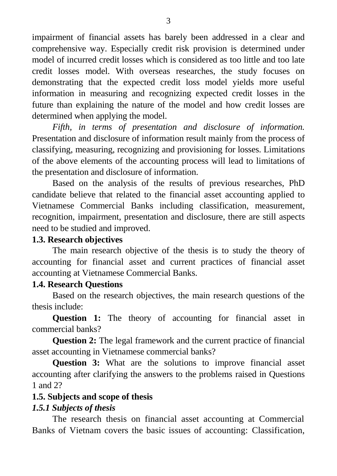impairment of financial assets has barely been addressed in a clear and comprehensive way. Especially credit risk provision is determined under model of incurred credit losses which is considered as too little and too late credit losses model. With overseas researches, the study focuses on demonstrating that the expected credit loss model yields more useful information in measuring and recognizing expected credit losses in the future than explaining the nature of the model and how credit losses are determined when applying the model.

*Fifth, in terms of presentation and disclosure of information.* Presentation and disclosure of information result mainly from the process of classifying, measuring, recognizing and provisioning for losses. Limitations of the above elements of the accounting process will lead to limitations of the presentation and disclosure of information.

Based on the analysis of the results of previous researches, PhD candidate believe that related to the financial asset accounting applied to Vietnamese Commercial Banks including classification, measurement, recognition, impairment, presentation and disclosure, there are still aspects need to be studied and improved.

#### **1.3. Research objectives**

The main research objective of the thesis is to study the theory of accounting for financial asset and current practices of financial asset accounting at Vietnamese Commercial Banks.

#### **1.4. Research Questions**

Based on the research objectives, the main research questions of the thesis include:

**Question 1:** The theory of accounting for financial asset in commercial banks?

**Question 2:** The legal framework and the current practice of financial asset accounting in Vietnamese commercial banks?

**Question 3:** What are the solutions to improve financial asset accounting after clarifying the answers to the problems raised in Questions 1 and 2?

#### **1.5. Subjects and scope of thesis**

### *1.5.1 Subjects of thesis*

The research thesis on financial asset accounting at Commercial Banks of Vietnam covers the basic issues of accounting: Classification,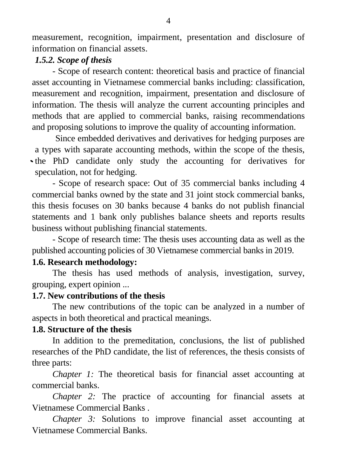measurement, recognition, impairment, presentation and disclosure of information on financial assets.

#### *1.5.2. Scope of thesis*

- Scope of research content: theoretical basis and practice of financial asset accounting in Vietnamese commercial banks including: classification, measurement and recognition, impairment, presentation and disclosure of information. The thesis will analyze the current accounting principles and methods that are applied to commercial banks, raising recommendations and proposing solutions to improve the quality of accounting information.

Since embedded derivatives and derivatives for hedging purposes are a types with saparate accounting methods, within the scope of the thesis, the PhD candidate only study the accounting for derivatives for speculation, not for hedging.

- Scope of research space: Out of 35 commercial banks including 4 commercial banks owned by the state and 31 joint stock commercial banks, this thesis focuses on 30 banks because 4 banks do not publish financial statements and 1 bank only publishes balance sheets and reports results business without publishing financial statements.

- Scope of research time: The thesis uses accounting data as well as the published accounting policies of 30 Vietnamese commercial banks in 2019.

#### **1.6. Research methodology:**

The thesis has used methods of analysis, investigation, survey, grouping, expert opinion ...

#### **1.7. New contributions of the thesis**

The new contributions of the topic can be analyzed in a number of aspects in both theoretical and practical meanings.

#### **1.8. Structure of the thesis**

In addition to the premeditation, conclusions, the list of published researches of the PhD candidate, the list of references, the thesis consists of three parts:

*Chapter 1:* The theoretical basis for financial asset accounting at commercial banks.

*Chapter 2:* The practice of accounting for financial assets at Vietnamese Commercial Banks .

*Chapter 3:* Solutions to improve financial asset accounting at Vietnamese Commercial Banks.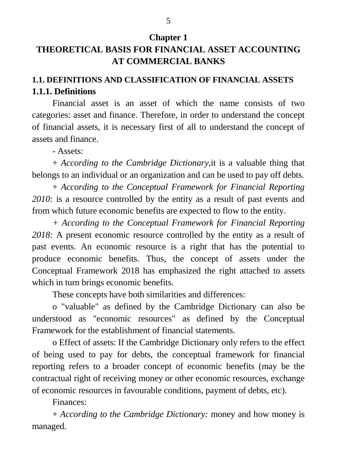#### **Chapter 1**

# **THEORETICAL BASIS FOR FINANCIAL ASSET ACCOUNTING AT COMMERCIAL BANKS**

# **1.1. DEFINITIONS AND CLASSIFICATION OF FINANCIAL ASSETS 1.1.1. Definitions**

Financial asset is an asset of which the name consists of two categories: asset and finance. Therefore, in order to understand the concept of financial assets, it is necessary first of all to understand the concept of assets and finance.

- Assets:

+ *According to the Cambridge Dictionary,*it is a valuable thing that belongs to an individual or an organization and can be used to pay off debts.

+ *According to the Conceptual Framework for Financial Reporting 2010:* is a resource controlled by the entity as a result of past events and from which future economic benefits are expected to flow to the entity.

*+ According to the Conceptual Framework for Financial Reporting 2018:* A present economic resource controlled by the entity as a result of past events. An economic resource is a right that has the potential to produce economic benefits. Thus, the concept of assets under the Conceptual Framework 2018 has emphasized the right attached to assets which in turn brings economic benefits.

These concepts have both similarities and differences:

o "valuable" as defined by the Cambridge Dictionary can also be understood as "economic resources" as defined by the Conceptual Framework for the establishment of financial statements.

o Effect of assets: If the Cambridge Dictionary only refers to the effect of being used to pay for debts, the conceptual framework for financial reporting refers to a broader concept of economic benefits (may be the contractual right of receiving money or other economic resources, exchange of economic resources in favourable conditions, payment of debts, etc).

Finances:

+ *According to the Cambridge Dictionary:* money and how money is managed.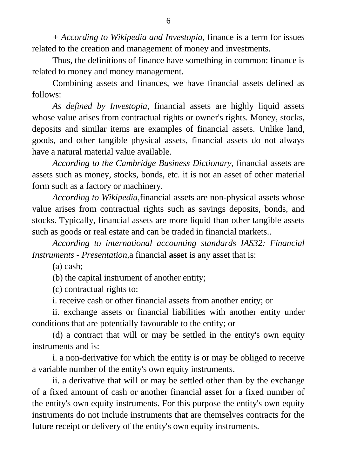*+ According to Wikipedia and Investopia,* finance is a term for issues related to the creation and management of money and investments.

Thus, the definitions of finance have something in common: finance is related to money and money management.

Combining assets and finances, we have financial assets defined as follows:

*As defined by Investopia,* financial assets are highly liquid assets whose value arises from contractual rights or owner's rights. Money, stocks, deposits and similar items are examples of financial assets. Unlike land, goods, and other tangible physical assets, financial assets do not always have a natural material value available.

*According to the Cambridge Business Dictionary,* financial assets are assets such as money, stocks, bonds, etc. it is not an asset of other material form such as a factory or machinery.

*According to Wikipedia,*financial assets are non-physical assets whose value arises from contractual rights such as savings deposits, bonds, and stocks. Typically, financial assets are more liquid than other tangible assets such as goods or real estate and can be traded in financial markets..

*According to international accounting standards IAS32: Financial Instruments - Presentation,*a financial **asset** is any asset that is:

(a) cash;

(b) the capital instrument of another entity;

(c) contractual rights to:

i. receive cash or other financial assets from another entity; or

ii. exchange assets or financial liabilities with another entity under conditions that are potentially favourable to the entity; or

(d) a contract that will or may be settled in the entity's own equity instruments and is:

i. a non-derivative for which the entity is or may be obliged to receive a variable number of the entity's own equity instruments.

ii. a derivative that will or may be settled other than by the exchange of a fixed amount of cash or another financial asset for a fixed number of the entity's own equity instruments. For this purpose the entity's own equity instruments do not include instruments that are themselves contracts for the future receipt or delivery of the entity's own equity instruments.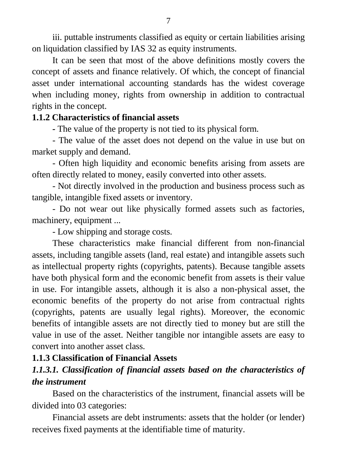iii. puttable instruments classified as equity or certain liabilities arising on liquidation classified by IAS 32 as equity instruments.

It can be seen that most of the above definitions mostly covers the concept of assets and finance relatively. Of which, the concept of financial asset under international accounting standards has the widest coverage when including money, rights from ownership in addition to contractual rights in the concept.

#### **1.1.2 Characteristics of financial assets**

*-* The value of the property is not tied to its physical form.

- The value of the asset does not depend on the value in use but on market supply and demand.

- Often high liquidity and economic benefits arising from assets are often directly related to money, easily converted into other assets.

- Not directly involved in the production and business process such as tangible, intangible fixed assets or inventory.

- Do not wear out like physically formed assets such as factories, machinery, equipment ...

- Low shipping and storage costs.

These characteristics make financial different from non-financial assets, including tangible assets (land, real estate) and intangible assets such as intellectual property rights (copyrights, patents). Because tangible assets have both physical form and the economic benefit from assets is their value in use. For intangible assets, although it is also a non-physical asset, the economic benefits of the property do not arise from contractual rights (copyrights, patents are usually legal rights). Moreover, the economic benefits of intangible assets are not directly tied to money but are still the value in use of the asset. Neither tangible nor intangible assets are easy to convert into another asset class.

#### **1.1.3 Classification of Financial Assets**

# *1.1.3.1. Classification of financial assets based on the characteristics of the instrument*

Based on the characteristics of the instrument, financial assets will be divided into 03 categories:

Financial assets are debt instruments: assets that the holder (or lender) receives fixed payments at the identifiable time of maturity.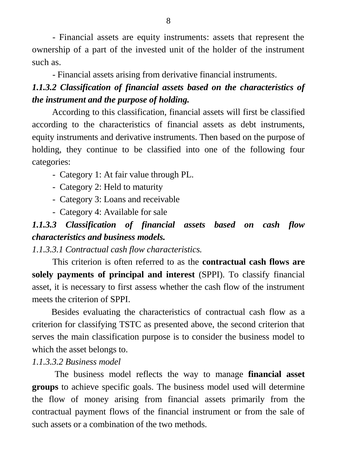- Financial assets are equity instruments: assets that represent the ownership of a part of the invested unit of the holder of the instrument such as.

- Financial assets arising from derivative financial instruments.

# *1.1.3.2 Classification of financial assets based on the characteristics of the instrument and the purpose of holding.*

According to this classification, financial assets will first be classified according to the characteristics of financial assets as debt instruments, equity instruments and derivative instruments. Then based on the purpose of holding, they continue to be classified into one of the following four categories:

- Category 1: At fair value through PL.
- Category 2: Held to maturity
- Category 3: Loans and receivable
- Category 4: Available for sale

# *1.1.3.3 Classification of financial assets based on cash flow characteristics and business models.*

*1.1.3.3.1 Contractual cash flow characteristics.* 

This criterion is often referred to as the **contractual cash flows are solely payments of principal and interest** (SPPI). To classify financial asset, it is necessary to first assess whether the cash flow of the instrument meets the criterion of SPPI.

 Besides evaluating the characteristics of contractual cash flow as a criterion for classifying TSTC as presented above, the second criterion that serves the main classification purpose is to consider the business model to which the asset belongs to.

# *1.1.3.3.2 Business model*

 The business model reflects the way to manage **financial asset groups** to achieve specific goals. The business model used will determine the flow of money arising from financial assets primarily from the contractual payment flows of the financial instrument or from the sale of such assets or a combination of the two methods.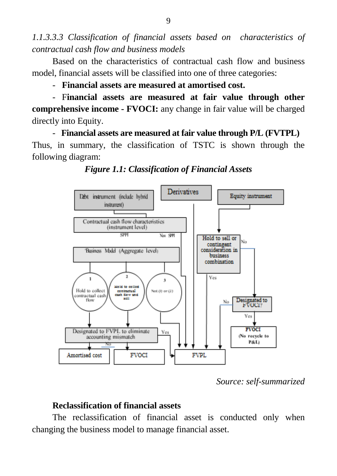*1.1.3.3.3 Classification of financial assets based on characteristics of contractual cash flow and business models*

Based on the characteristics of contractual cash flow and business model, financial assets will be classified into one of three categories:

- **Financial assets are measured at amortised cost.**

- F**inancial assets are measured at fair value through other comprehensive income - FVOCI:** any change in fair value will be charged directly into Equity.

- **Financial assets are measured at fair value through P/L (FVTPL)** Thus, in summary, the classification of TSTC is shown through the following diagram:





*Source: self-summarized*

### **Reclassification of financial assets**

The reclassification of financial asset is conducted only when changing the business model to manage financial asset.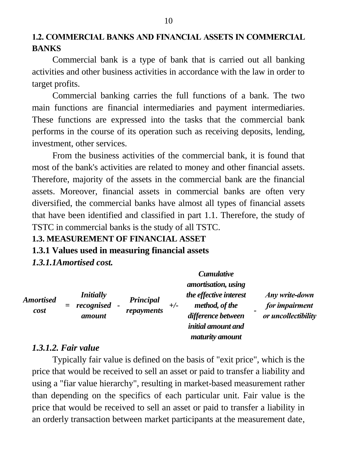### **1.2. COMMERCIAL BANKS AND FINANCIAL ASSETS IN COMMERCIAL BANKS**

Commercial bank is a type of bank that is carried out all banking activities and other business activities in accordance with the law in order to target profits.

Commercial banking carries the full functions of a bank. The two main functions are financial intermediaries and payment intermediaries. These functions are expressed into the tasks that the commercial bank performs in the course of its operation such as receiving deposits, lending, investment, other services.

From the business activities of the commercial bank, it is found that most of the bank's activities are related to money and other financial assets. Therefore, majority of the assets in the commercial bank are the financial assets. Moreover, financial assets in commercial banks are often very diversified, the commercial banks have almost all types of financial assets that have been identified and classified in part 1.1. Therefore, the study of TSTC in commercial banks is the study of all TSTC.

#### **1.3. MEASUREMENT OF FINANCIAL ASSET**

#### **1.3.1 Values used in measuring financial assets**

*1.3.1.1Amortised cost.* 

| <b>Amortised</b><br>cost |     |                                | Principal<br>repayments | $+/-$ | <b>Cumulative</b><br><i>amortisation, using</i><br>the effective interest |                                  |
|--------------------------|-----|--------------------------------|-------------------------|-------|---------------------------------------------------------------------------|----------------------------------|
|                          | $=$ | <i>Initially</i><br>recognised |                         |       | method, of the                                                            | Any write-down<br>for impairment |
|                          |     | amount                         |                         |       | difference between                                                        | or uncollectibility              |
|                          |     |                                |                         |       | <i>initial amount and</i><br>maturity amount                              |                                  |

#### *1.3.1.2. Fair value*

Typically fair value is defined on the basis of "exit price", which is the price that would be received to sell an asset or paid to transfer a liability and using a "fiar value hierarchy", resulting in market-based measurement rather than depending on the specifics of each particular unit. Fair value is the price that would be received to sell an asset or paid to transfer a liability in an orderly transaction between market participants at the measurement date,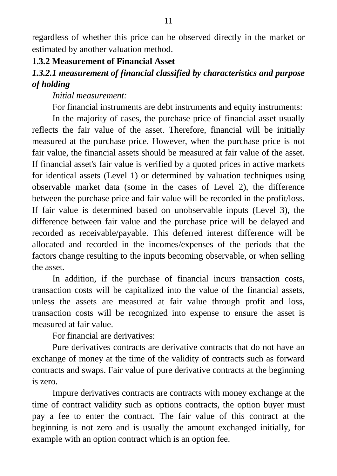regardless of whether this price can be observed directly in the market or estimated by another valuation method.

#### **1.3.2 Measurement of Financial Asset**

### *1.3.2.1 measurement of financial classified by characteristics and purpose of holding*

*Initial measurement:*

For financial instruments are debt instruments and equity instruments:

In the majority of cases, the purchase price of financial asset usually reflects the fair value of the asset. Therefore, financial will be initially measured at the purchase price. However, when the purchase price is not fair value, the financial assets should be measured at fair value of the asset. If financial asset's fair value is verified by a quoted prices in active markets for identical assets (Level 1) or determined by valuation techniques using observable market data (some in the cases of Level 2), the difference between the purchase price and fair value will be recorded in the profit/loss. If fair value is determined based on unobservable inputs (Level 3), the difference between fair value and the purchase price will be delayed and recorded as receivable/payable. This deferred interest difference will be allocated and recorded in the incomes/expenses of the periods that the factors change resulting to the inputs becoming observable, or when selling the asset.

In addition, if the purchase of financial incurs transaction costs, transaction costs will be capitalized into the value of the financial assets, unless the assets are measured at fair value through profit and loss, transaction costs will be recognized into expense to ensure the asset is measured at fair value.

For financial are derivatives:

Pure derivatives contracts are derivative contracts that do not have an exchange of money at the time of the validity of contracts such as forward contracts and swaps. Fair value of pure derivative contracts at the beginning is zero.

Impure derivatives contracts are contracts with money exchange at the time of contract validity such as options contracts, the option buyer must pay a fee to enter the contract. The fair value of this contract at the beginning is not zero and is usually the amount exchanged initially, for example with an option contract which is an option fee.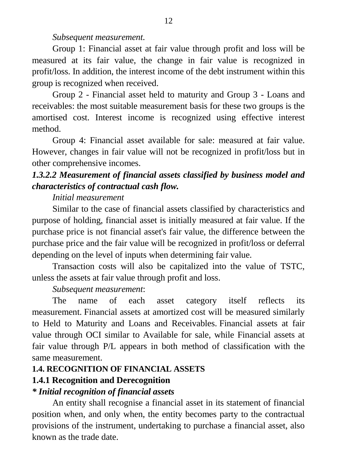#### *Subsequent measurement.*

Group 1: Financial asset at fair value through profit and loss will be measured at its fair value, the change in fair value is recognized in profit/loss. In addition, the interest income of the debt instrument within this group is recognized when received.

Group 2 - Financial asset held to maturity and Group 3 - Loans and receivables: the most suitable measurement basis for these two groups is the amortised cost. Interest income is recognized using effective interest method.

Group 4: Financial asset available for sale: measured at fair value. However, changes in fair value will not be recognized in profit/loss but in other comprehensive incomes.

# *1.3.2.2 Measurement of financial assets classified by business model and characteristics of contractual cash flow.*

#### *Initial measurement*

Similar to the case of financial assets classified by characteristics and purpose of holding, financial asset is initially measured at fair value. If the purchase price is not financial asset's fair value, the difference between the purchase price and the fair value will be recognized in profit/loss or deferral depending on the level of inputs when determining fair value.

Transaction costs will also be capitalized into the value of TSTC, unless the assets at fair value through profit and loss.

#### *Subsequent measurement*:

The name of each asset category itself reflects its measurement. Financial assets at amortized cost will be measured similarly to Held to Maturity and Loans and Receivables. Financial assets at fair value through OCI similar to Available for sale, while Financial assets at fair value through P/L appears in both method of classification with the same measurement.

#### **1.4. RECOGNITION OF FINANCIAL ASSETS**

#### **1.4.1 Recognition and Derecognition**

#### *\* Initial recognition of financial assets*

An entity shall recognise a financial asset in its statement of financial position when, and only when, the entity becomes party to the contractual provisions of the instrument, undertaking to purchase a financial asset, also known as the trade date.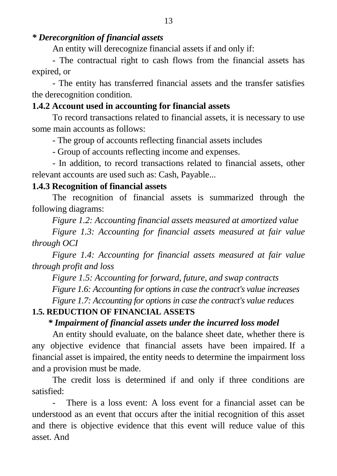#### *\* Derecorgnition of financial assets*

An entity will derecognize financial assets if and only if:

- The contractual right to cash flows from the financial assets has expired, or

- The entity has transferred financial assets and the transfer satisfies the derecognition condition.

#### **1.4.2 Account used in accounting for financial assets**

To record transactions related to financial assets, it is necessary to use some main accounts as follows:

- The group of accounts reflecting financial assets includes

- Group of accounts reflecting income and expenses.

- In addition, to record transactions related to financial assets, other relevant accounts are used such as: Cash, Payable...

#### **1.4.3 Recognition of financial assets**

The recognition of financial assets is summarized through the following diagrams:

*Figure 1.2: Accounting financial assets measured at amortized value*

*Figure 1.3: Accounting for financial assets measured at fair value through OCI*

*Figure 1.4: Accounting for financial assets measured at fair value through profit and loss*

*Figure 1.5: Accounting for forward, future, and swap contracts*

*Figure 1.6: Accounting for options in case the contract's value increases*

*Figure 1.7: Accounting for options in case the contract's value reduces*

#### **1.5. REDUCTION OF FINANCIAL ASSETS**

#### *\* Impairment of financial assets under the incurred loss model*

An entity should evaluate, on the balance sheet date, whether there is any objective evidence that financial assets have been impaired. If a financial asset is impaired, the entity needs to determine the impairment loss and a provision must be made.

The credit loss is determined if and only if three conditions are satisfied:

There is a loss event: A loss event for a financial asset can be understood as an event that occurs after the initial recognition of this asset and there is objective evidence that this event will reduce value of this asset. And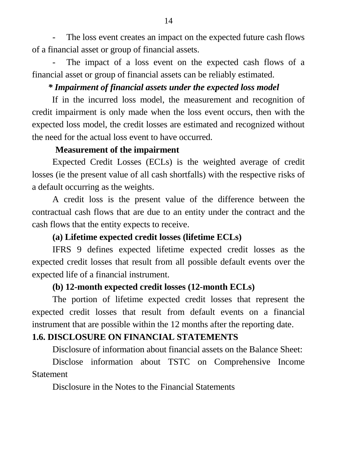The loss event creates an impact on the expected future cash flows of a financial asset or group of financial assets.

The impact of a loss event on the expected cash flows of a financial asset or group of financial assets can be reliably estimated.

### *\* Impairment of financial assets under the expected loss model*

If in the incurred loss model, the measurement and recognition of credit impairment is only made when the loss event occurs, then with the expected loss model, the credit losses are estimated and recognized without the need for the actual loss event to have occurred.

### **Measurement of the impairment**

Expected Credit Losses (ECLs) is the weighted average of credit losses (ie the present value of all cash shortfalls) with the respective risks of a default occurring as the weights.

A credit loss is the present value of the difference between the contractual cash flows that are due to an entity under the contract and the cash flows that the entity expects to receive.

### **(a) Lifetime expected credit losses (lifetime ECLs)**

IFRS 9 defines expected lifetime expected credit losses as the expected credit losses that result from all possible default events over the expected life of a financial instrument.

### **(b) 12-month expected credit losses (12-month ECLs)**

The portion of lifetime expected credit losses that represent the expected credit losses that result from default events on a financial instrument that are possible within the 12 months after the reporting date.

### **1.6. DISCLOSURE ON FINANCIAL STATEMENTS**

Disclosure of information about financial assets on the Balance Sheet:

Disclose information about TSTC on Comprehensive Income **Statement** 

Disclosure in the Notes to the Financial Statements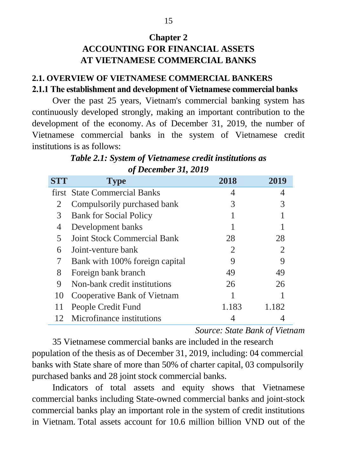# **Chapter 2 ACCOUNTING FOR FINANCIAL ASSETS AT VIETNAMESE COMMERCIAL BANKS**

### **2.1. OVERVIEW OF VIETNAMESE COMMERCIAL BANKERS 2.1.1 The establishment and development of Vietnamese commercial banks**

Over the past 25 years, Vietnam's commercial banking system has continuously developed strongly, making an important contribution to the development of the economy. As of December 31, 2019, the number of Vietnamese commercial banks in the system of Vietnamese credit institutions is as follows:

*Table 2.1: System of Vietnamese credit institutions as of December 31, 2019*

| <b>STT</b> | <b>Type</b>                        | 2018           | 2019  |
|------------|------------------------------------|----------------|-------|
|            | first State Commercial Banks       |                |       |
|            | Compulsorily purchased bank        | 3              |       |
| 3          | <b>Bank for Social Policy</b>      |                |       |
| 4          | Development banks                  |                |       |
| 5          | <b>Joint Stock Commercial Bank</b> | 28             | 28    |
| 6          | Joint-venture bank                 | $\overline{2}$ |       |
|            | Bank with 100% foreign capital     | 9              |       |
| 8          | Foreign bank branch                | 49             | 49    |
| 9          | Non-bank credit institutions       | 26             | 26    |
| 10         | Cooperative Bank of Vietnam        |                |       |
| 11         | People Credit Fund                 | 1.183          | 1.182 |
| 12         | Microfinance institutions          |                |       |

*Source: State Bank of Vietnam*

35 Vietnamese commercial banks are included in the research population of the thesis as of December 31, 2019, including: 04 commercial banks with State share of more than 50% of charter capital, 03 compulsorily purchased banks and 28 joint stock commercial banks.

Indicators of total assets and equity shows that Vietnamese commercial banks including State-owned commercial banks and joint-stock commercial banks play an important role in the system of credit institutions in Vietnam. Total assets account for 10.6 million billion VND out of the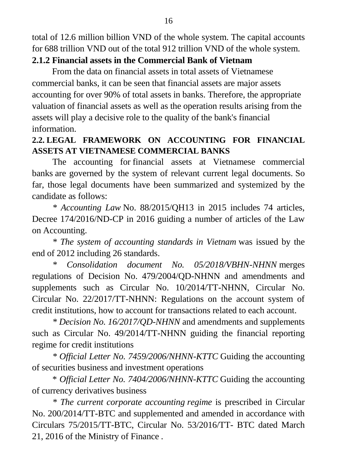total of 12.6 million billion VND of the whole system. The capital accounts for 688 trillion VND out of the total 912 trillion VND of the whole system.

#### **2.1.2 Financial assets in the Commercial Bank of Vietnam**

From the data on financial assets in total assets of Vietnamese commercial banks, it can be seen that financial assets are major assets accounting for over 90% of total assets in banks. Therefore, the appropriate valuation of financial assets as well as the operation results arising from the assets will play a decisive role to the quality of the bank's financial information.

### **2.2. LEGAL FRAMEWORK ON ACCOUNTING FOR FINANCIAL ASSETS AT VIETNAMESE COMMERCIAL BANKS**

The accounting for financial assets at Vietnamese commercial banks are governed by the system of relevant current legal documents. So far, those legal documents have been summarized and systemized by the candidate as follows:

*\* Accounting Law* No. 88/2015/QH13 in 2015 includes 74 articles, Decree 174/2016/ND-CP in 2016 guiding a number of articles of the Law on Accounting.

*\* The system of accounting standards in Vietnam* was issued by the end of 2012 including 26 standards.

*\* Consolidation document No. 05/2018/VBHN-NHNN* merges regulations of Decision No. 479/2004/QD-NHNN and amendments and supplements such as Circular No. 10/2014/TT-NHNN, Circular No. Circular No. 22/2017/TT-NHNN: Regulations on the account system of credit institutions, how to account for transactions related to each account.

*\* Decision No. 16/2017/QD-NHNN* and amendments and supplements such as Circular No. 49/2014/TT-NHNN guiding the financial reporting regime for credit institutions

*\* Official Letter No. 7459/2006/NHNN-KTTC* Guiding the accounting of securities business and investment operations

\* *Official Letter No. 7404/2006/NHNN-KTTC* Guiding the accounting of currency derivatives business

*\* The current corporate accounting regime* is prescribed in Circular No. 200/2014/TT-BTC and supplemented and amended in accordance with Circulars 75/2015/TT-BTC, Circular No. 53/2016/TT- BTC dated March 21, 2016 of the Ministry of Finance *.*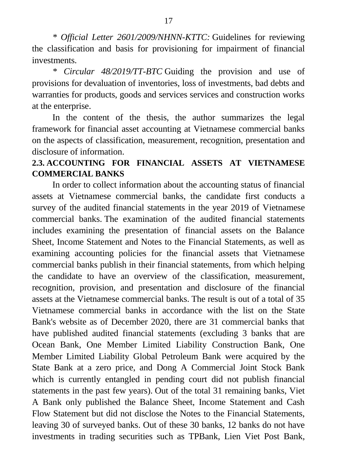*\* Official Letter 2601/2009/NHNN-KTTC:* Guidelines for reviewing the classification and basis for provisioning for impairment of financial investments.

*\* Circular 48/2019/TT-BTC* Guiding the provision and use of provisions for devaluation of inventories, loss of investments, bad debts and warranties for products, goods and services services and construction works at the enterprise.

In the content of the thesis, the author summarizes the legal framework for financial asset accounting at Vietnamese commercial banks on the aspects of classification, measurement, recognition, presentation and disclosure of information.

### **2.3. ACCOUNTING FOR FINANCIAL ASSETS AT VIETNAMESE COMMERCIAL BANKS**

In order to collect information about the accounting status of financial assets at Vietnamese commercial banks, the candidate first conducts a survey of the audited financial statements in the year 2019 of Vietnamese commercial banks. The examination of the audited financial statements includes examining the presentation of financial assets on the Balance Sheet, Income Statement and Notes to the Financial Statements, as well as examining accounting policies for the financial assets that Vietnamese commercial banks publish in their financial statements, from which helping the candidate to have an overview of the classification, measurement, recognition, provision, and presentation and disclosure of the financial assets at the Vietnamese commercial banks. The result is out of a total of 35 Vietnamese commercial banks in accordance with the list on the State Bank's website as of December 2020, there are 31 commercial banks that have published audited financial statements (excluding 3 banks that are Ocean Bank, One Member Limited Liability Construction Bank, One Member Limited Liability Global Petroleum Bank were acquired by the State Bank at a zero price, and Dong A Commercial Joint Stock Bank which is currently entangled in pending court did not publish financial statements in the past few years). Out of the total 31 remaining banks, Viet A Bank only published the Balance Sheet, Income Statement and Cash Flow Statement but did not disclose the Notes to the Financial Statements, leaving 30 of surveyed banks. Out of these 30 banks, 12 banks do not have investments in trading securities such as TPBank, Lien Viet Post Bank,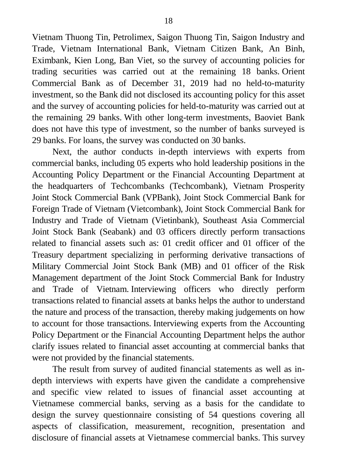Vietnam Thuong Tin, Petrolimex, Saigon Thuong Tin, Saigon Industry and Trade, Vietnam International Bank, Vietnam Citizen Bank, An Binh, Eximbank, Kien Long, Ban Viet, so the survey of accounting policies for trading securities was carried out at the remaining 18 banks. Orient Commercial Bank as of December 31, 2019 had no held-to-maturity investment, so the Bank did not disclosed its accounting policy for this asset and the survey of accounting policies for held-to-maturity was carried out at the remaining 29 banks. With other long-term investments, Baoviet Bank does not have this type of investment, so the number of banks surveyed is 29 banks. For loans, the survey was conducted on 30 banks.

Next, the author conducts in-depth interviews with experts from commercial banks, including 05 experts who hold leadership positions in the Accounting Policy Department or the Financial Accounting Department at the headquarters of Techcombanks (Techcombank), Vietnam Prosperity Joint Stock Commercial Bank (VPBank), Joint Stock Commercial Bank for Foreign Trade of Vietnam (Vietcombank), Joint Stock Commercial Bank for Industry and Trade of Vietnam (Vietinbank), Southeast Asia Commercial Joint Stock Bank (Seabank) and 03 officers directly perform transactions related to financial assets such as: 01 credit officer and 01 officer of the Treasury department specializing in performing derivative transactions of Military Commercial Joint Stock Bank (MB) and 01 officer of the Risk Management department of the Joint Stock Commercial Bank for Industry and Trade of Vietnam. Interviewing officers who directly perform transactions related to financial assets at banks helps the author to understand the nature and process of the transaction, thereby making judgements on how to account for those transactions. Interviewing experts from the Accounting Policy Department or the Financial Accounting Department helps the author clarify issues related to financial asset accounting at commercial banks that were not provided by the financial statements.

The result from survey of audited financial statements as well as indepth interviews with experts have given the candidate a comprehensive and specific view related to issues of financial asset accounting at Vietnamese commercial banks, serving as a basis for the candidate to design the survey questionnaire consisting of 54 questions covering all aspects of classification, measurement, recognition, presentation and disclosure of financial assets at Vietnamese commercial banks. This survey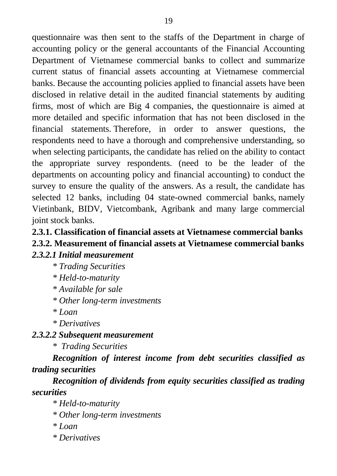questionnaire was then sent to the staffs of the Department in charge of accounting policy or the general accountants of the Financial Accounting Department of Vietnamese commercial banks to collect and summarize current status of financial assets accounting at Vietnamese commercial banks. Because the accounting policies applied to financial assets have been disclosed in relative detail in the audited financial statements by auditing firms, most of which are Big 4 companies, the questionnaire is aimed at more detailed and specific information that has not been disclosed in the financial statements. Therefore, in order to answer questions, the respondents need to have a thorough and comprehensive understanding, so when selecting participants, the candidate has relied on the ability to contact the appropriate survey respondents. (need to be the leader of the departments on accounting policy and financial accounting) to conduct the survey to ensure the quality of the answers. As a result, the candidate has selected 12 banks, including 04 state-owned commercial banks, namely Vietinbank, BIDV, Vietcombank, Agribank and many large commercial joint stock banks.

# **2.3.1. Classification of financial assets at Vietnamese commercial banks 2.3.2. Measurement of financial assets at Vietnamese commercial banks**

#### *2.3.2.1 Initial measurement*

- *\* Trading Securities*
- *\* Held-to-maturity*
- *\* Available for sale*
- *\* Other long-term investments*
- *\* Loan*
- *\* Derivatives*

#### *2.3.2.2 Subsequent measurement*

*\* Trading Securities*

*Recognition of interest income from debt securities classified as trading securities*

*Recognition of dividends from equity securities classified as trading securities*

- *\* Held-to-maturity*
- *\* Other long-term investments*
- *\* Loan*
- *\* Derivatives*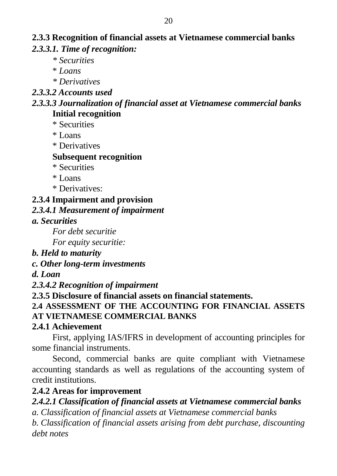# **2.3.3 Recognition of financial assets at Vietnamese commercial banks** *2.3.3.1. Time of recognition:*

- *\* Securities*
- \* *Loans*
- *\* Derivatives*

#### *2.3.3.2 Accounts used*

### *2.3.3.3 Journalization of financial asset at Vietnamese commercial banks* **Initial recognition**

- \* Securities
- \* Loans
- \* Derivatives

### **Subsequent recognition**

- \* Securities
- \* Loans
- \* Derivatives:

# **2.3.4 Impairment and provision**

### *2.3.4.1 Measurement of impairment*

*a. Securities*

*For debt securitie*

*For equity securitie:*

### *b. Held to maturity*

### *c. Other long-term investments*

### *d. Loan*

*2.3.4.2 Recognition of impairment*

### **2.3.5 Disclosure of financial assets on financial statements.**

#### **2.4 ASSESSMENT OF THE ACCOUNTING FOR FINANCIAL ASSETS AT VIETNAMESE COMMERCIAL BANKS**

### **2.4.1 Achievement**

First, applying IAS/IFRS in development of accounting principles for some financial instruments.

Second, commercial banks are quite compliant with Vietnamese accounting standards as well as regulations of the accounting system of credit institutions.

### **2.4.2 Areas for improvement**

*2.4.2.1 Classification of financial assets at Vietnamese commercial banks*

*a. Classification of financial assets at Vietnamese commercial banks*

*b. Classification of financial assets arising from debt purchase, discounting debt notes*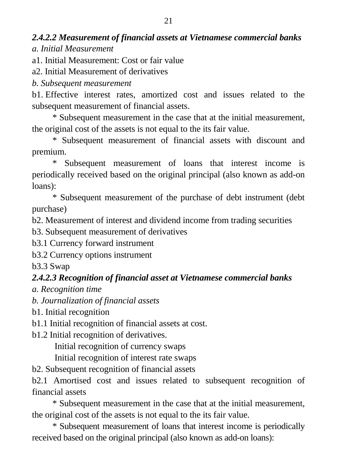# *2.4.2.2 Measurement of financial assets at Vietnamese commercial banks a. Initial Measurement*

a1. Initial Measurement: Cost or fair value

a2. Initial Measurement of derivatives

*b. Subsequent measurement* 

b1. Effective interest rates, amortized cost and issues related to the subsequent measurement of financial assets.

\* Subsequent measurement in the case that at the initial measurement, the original cost of the assets is not equal to the its fair value.

\* Subsequent measurement of financial assets with discount and premium.

\* Subsequent measurement of loans that interest income is periodically received based on the original principal (also known as add-on loans):

\* Subsequent measurement of the purchase of debt instrument (debt purchase)

b2. Measurement of interest and dividend income from trading securities

b3. Subsequent measurement of derivatives

b3.1 Currency forward instrument

b3.2 Currency options instrument

b3.3 Swap

# *2.4.2.3 Recognition of financial asset at Vietnamese commercial banks*

*a. Recognition time*

*b. Journalization of financial assets*

b1. Initial recognition

b1.1 Initial recognition of financial assets at cost.

b1.2 Initial recognition of derivatives.

Initial recognition of currency swaps

Initial recognition of interest rate swaps

b2. Subsequent recognition of financial assets

b2.1 Amortised cost and issues related to subsequent recognition of financial assets

\* Subsequent measurement in the case that at the initial measurement, the original cost of the assets is not equal to the its fair value.

\* Subsequent measurement of loans that interest income is periodically received based on the original principal (also known as add-on loans):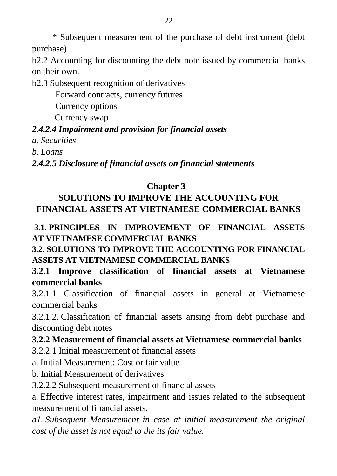\* Subsequent measurement of the purchase of debt instrument (debt purchase)

b2.2 Accounting for discounting the debt note issued by commercial banks on their own.

b2.3 Subsequent recognition of derivatives

Forward contracts, currency futures

Currency options

Currency swap

### *2.4.2.4 Impairment and provision for financial assets*

*a. Securities* 

*b. Loans*

*2.4.2.5 Disclosure of financial assets on financial statements*

### **Chapter 3**

# **SOLUTIONS TO IMPROVE THE ACCOUNTING FOR FINANCIAL ASSETS AT VIETNAMESE COMMERCIAL BANKS**

**3.1. PRINCIPLES IN IMPROVEMENT OF FINANCIAL ASSETS AT VIETNAMESE COMMERCIAL BANKS**

**3.2. SOLUTIONS TO IMPROVE THE ACCOUNTING FOR FINANCIAL ASSETS AT VIETNAMESE COMMERCIAL BANKS**

# **3.2.1 Improve classification of financial assets at Vietnamese commercial banks**

3.2.1.1 Classification of financial assets in general at Vietnamese commercial banks

3.2.1.2. Classification of financial assets arising from debt purchase and discounting debt notes

### **3.2.2 Measurement of financial assets at Vietnamese commercial banks**

3.2.2.1 Initial measurement of financial assets

a. Initial Measurement: Cost or fair value

b. Initial Measurement of derivatives

3.2.2.2 Subsequent measurement of financial assets

a. Effective interest rates, impairment and issues related to the subsequent measurement of financial assets.

*a1. Subsequent Measurement in case at initial measurement the original cost of the asset is not equal to the its fair value.*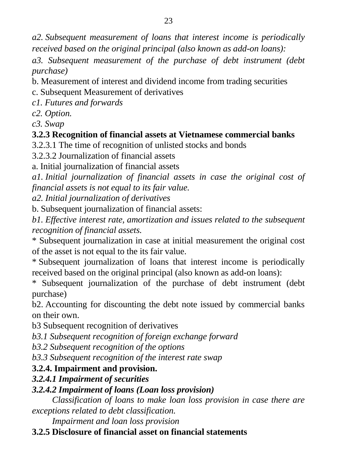*a2. Subsequent measurement of loans that interest income is periodically received based on the original principal (also known as add-on loans):*

*a3. Subsequent measurement of the purchase of debt instrument (debt purchase)*

b. Measurement of interest and dividend income from trading securities

c. Subsequent Measurement of derivatives

*c1. Futures and forwards*

*c2. Option.*

*c3. Swap* 

# **3.2.3 Recognition of financial assets at Vietnamese commercial banks**

3.2.3.1 The time of recognition of unlisted stocks and bonds

3.2.3.2 Journalization of financial assets

a. Initial journalization of financial assets

*a1. Initial journalization of financial assets in case the original cost of financial assets is not equal to its fair value.*

*a2. Initial journalization of derivatives*

b. Subsequent journalization of financial assets:

*b1. Effective interest rate, amortization and issues related to the subsequent recognition of financial assets.*

\* Subsequent journalization in case at initial measurement the original cost of the asset is not equal to the its fair value.

\* Subsequent journalization of loans that interest income is periodically received based on the original principal (also known as add-on loans):

\* Subsequent journalization of the purchase of debt instrument (debt purchase)

b2. Accounting for discounting the debt note issued by commercial banks on their own.

b3 Subsequent recognition of derivatives

*b3.1 Subsequent recognition of foreign exchange forward*

*b3.2 Subsequent recognition of the options*

*b3.3 Subsequent recognition of the interest rate swap*

# **3.2.4. Impairment and provision.**

# *3.2.4.1 Impairment of securities*

# *3.2.4.2 Impairment of loans (Loan loss provision)*

*Classification of loans to make loan loss provision in case there are exceptions related to debt classification.*

*Impairment and loan loss provision*

# **3.2.5 Disclosure of financial asset on financial statements**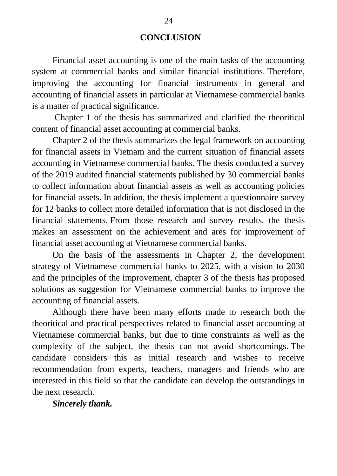#### **CONCLUSION**

Financial asset accounting is one of the main tasks of the accounting system at commercial banks and similar financial institutions. Therefore, improving the accounting for financial instruments in general and accounting of financial assets in particular at Vietnamese commercial banks is a matter of practical significance.

Chapter 1 of the thesis has summarized and clarified the theoritical content of financial asset accounting at commercial banks.

Chapter 2 of the thesis summarizes the legal framework on accounting for financial assets in Vietnam and the current situation of financial assets accounting in Vietnamese commercial banks. The thesis conducted a survey of the 2019 audited financial statements published by 30 commercial banks to collect information about financial assets as well as accounting policies for financial assets. In addition, the thesis implement a questionnaire survey for 12 banks to collect more detailed information that is not disclosed in the financial statements. From those research and survey results, the thesis makes an assessment on the achievement and ares for improvement of financial asset accounting at Vietnamese commercial banks.

On the basis of the assessments in Chapter 2, the development strategy of Vietnamese commercial banks to 2025, with a vision to 2030 and the principles of the improvement, chapter 3 of the thesis has proposed solutions as suggestion for Vietnamese commercial banks to improve the accounting of financial assets.

Although there have been many efforts made to research both the theoritical and practical perspectives related to financial asset accounting at Vietnamese commercial banks, but due to time constraints as well as the complexity of the subject, the thesis can not avoid shortcomings. The candidate considers this as initial research and wishes to receive recommendation from experts, teachers, managers and friends who are interested in this field so that the candidate can develop the outstandings in the next research.

*Sincerely thank.*